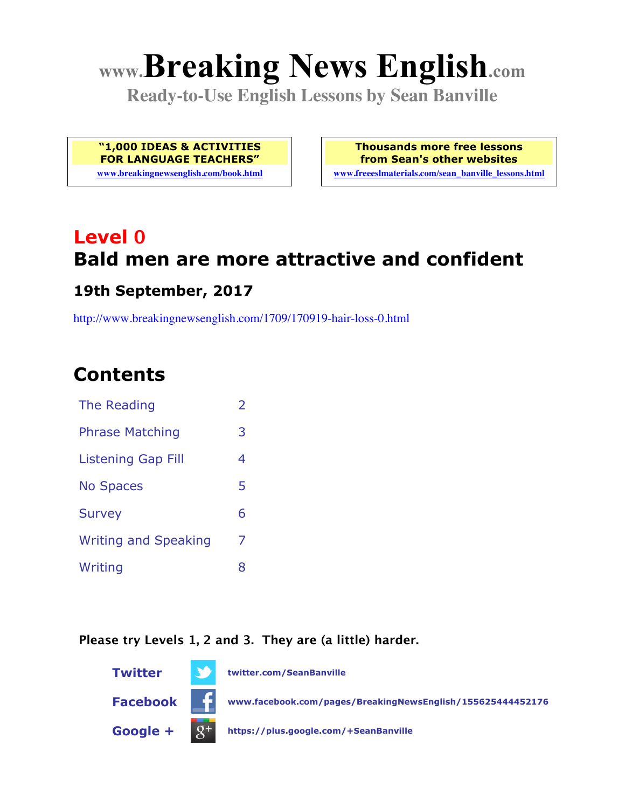# **www.Breaking News English.com**

**Ready-to-Use English Lessons by Sean Banville**

**"1,000 IDEAS & ACTIVITIES FOR LANGUAGE TEACHERS"**

**www.breakingnewsenglish.com/book.html**

**Thousands more free lessons from Sean's other websites www.freeeslmaterials.com/sean\_banville\_lessons.html**

## **Level 0 Bald men are more attractive and confident**

#### **19th September, 2017**

http://www.breakingnewsenglish.com/1709/170919-hair-loss-0.html

### **Contents**

| The Reading                 | $\overline{2}$ |
|-----------------------------|----------------|
| <b>Phrase Matching</b>      | 3              |
| <b>Listening Gap Fill</b>   | 4              |
| <b>No Spaces</b>            | 5              |
| <b>Survey</b>               | 6              |
| <b>Writing and Speaking</b> | 7              |
| Writing                     | 8              |

#### **Please try Levels 1, 2 and 3. They are (a little) harder.**

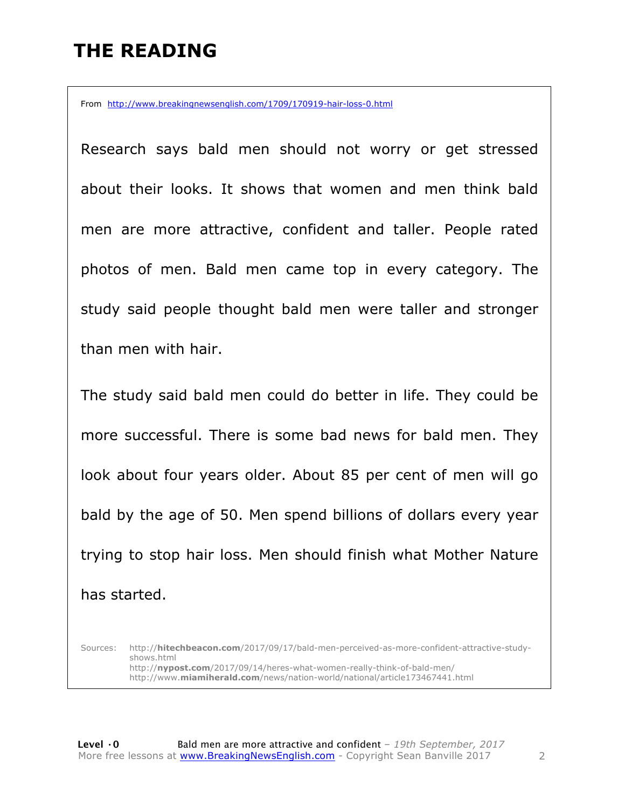### **THE READING**

From http://www.breakingnewsenglish.com/1709/170919-hair-loss-0.html

Research says bald men should not worry or get stressed about their looks. It shows that women and men think bald men are more attractive, confident and taller. People rated photos of men. Bald men came top in every category. The study said people thought bald men were taller and stronger than men with hair.

The study said bald men could do better in life. They could be more successful. There is some bad news for bald men. They look about four years older. About 85 per cent of men will go bald by the age of 50. Men spend billions of dollars every year trying to stop hair loss. Men should finish what Mother Nature has started.

Sources: http://**hitechbeacon.com**/2017/09/17/bald-men-perceived-as-more-confident-attractive-studyshows.html http://**nypost.com**/2017/09/14/heres-what-women-really-think-of-bald-men/ http://www.**miamiherald.com**/news/nation-world/national/article173467441.html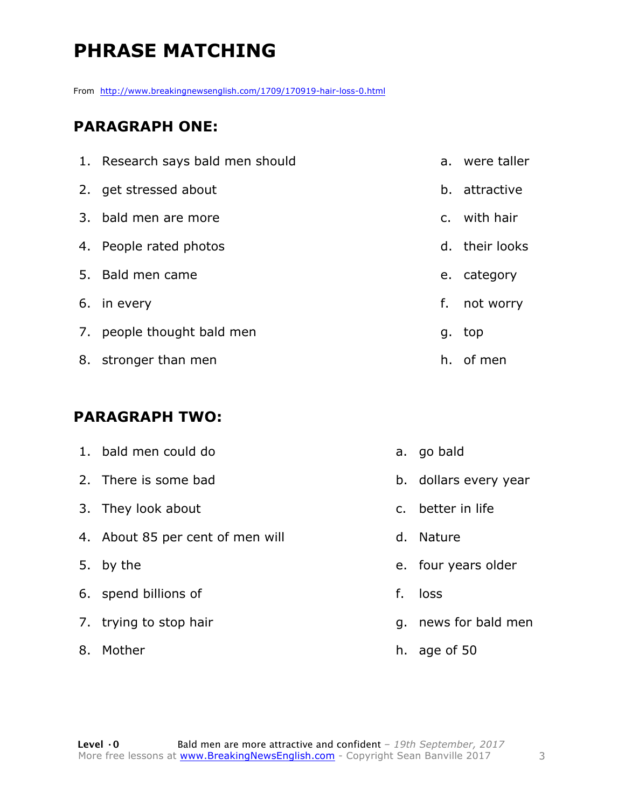### **PHRASE MATCHING**

From http://www.breakingnewsenglish.com/1709/170919-hair-loss-0.html

#### **PARAGRAPH ONE:**

| 1. Research says bald men should |    | a. were taller |
|----------------------------------|----|----------------|
| 2. get stressed about            |    | b. attractive  |
| 3. bald men are more             |    | c. with hair   |
| 4. People rated photos           |    | d. their looks |
| 5. Bald men came                 |    | e. category    |
| 6. in every                      | f. | not worry      |
| 7. people thought bald men       |    | g. top         |
| 8. stronger than men             |    | h. of men      |

#### **PARAGRAPH TWO:**

| 1. bald men could do             |    | a. go bald            |
|----------------------------------|----|-----------------------|
| 2. There is some bad             |    | b. dollars every year |
| 3. They look about               |    | c. better in life     |
| 4. About 85 per cent of men will |    | d. Nature             |
| 5. by the                        |    | e. four years older   |
| 6. spend billions of             | f. | loss                  |
| 7. trying to stop hair           |    | g. news for bald men  |
| 8. Mother                        |    | h. age of $50$        |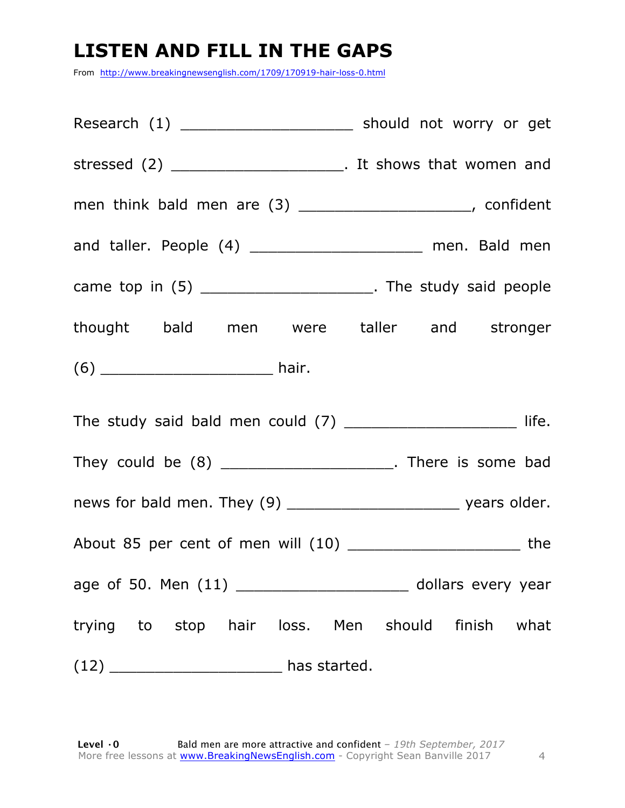### **LISTEN AND FILL IN THE GAPS**

From http://www.breakingnewsenglish.com/1709/170919-hair-loss-0.html

| Research (1) ________________________ should not worry or get      |  |
|--------------------------------------------------------------------|--|
| stressed (2) __________________________. It shows that women and   |  |
| men think bald men are (3) _______________________, confident      |  |
| and taller. People (4) ________________________ men. Bald men      |  |
| came top in $(5)$ _________________________. The study said people |  |
| thought bald men were taller and stronger                          |  |
|                                                                    |  |
|                                                                    |  |
| They could be (8) ________________________. There is some bad      |  |
|                                                                    |  |
| About 85 per cent of men will (10) ________________________ the    |  |
| age of 50. Men (11) _______________________ dollars every year     |  |
| trying to stop hair loss. Men should finish what                   |  |
|                                                                    |  |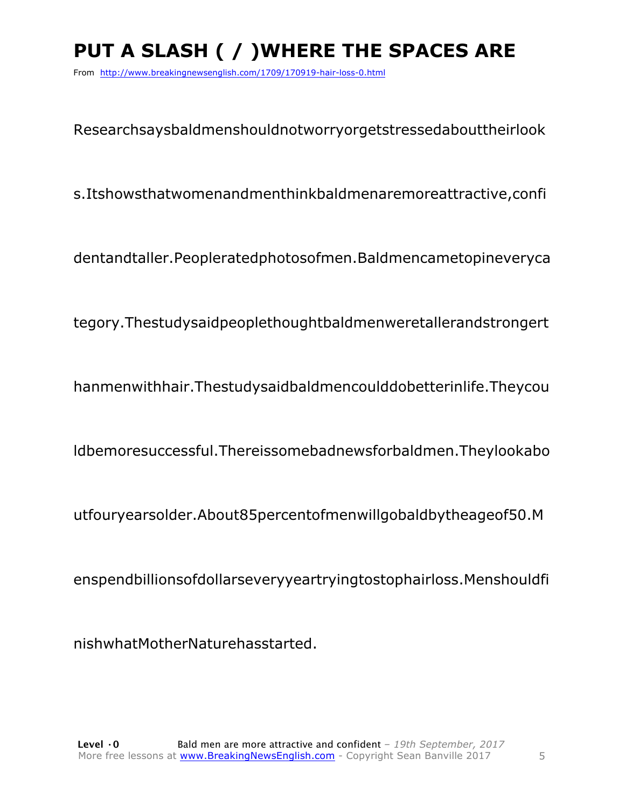### **PUT A SLASH ( / )WHERE THE SPACES ARE**

From http://www.breakingnewsenglish.com/1709/170919-hair-loss-0.html

Researchsaysbaldmenshouldnotworryorgetstressedabouttheirlook

s.Itshowsthatwomenandmenthinkbaldmenaremoreattractive,confi

dentandtaller.Peopleratedphotosofmen.Baldmencametopineveryca

tegory.Thestudysaidpeoplethoughtbaldmenweretallerandstrongert

hanmenwithhair.Thestudysaidbaldmencoulddobetterinlife.Theycou

ldbemoresuccessful.Thereissomebadnewsforbaldmen.Theylookabo

utfouryearsolder.About85percentofmenwillgobaldbytheageof50.M

enspendbillionsofdollarseveryyeartryingtostophairloss.Menshouldfi

nishwhatMotherNaturehasstarted.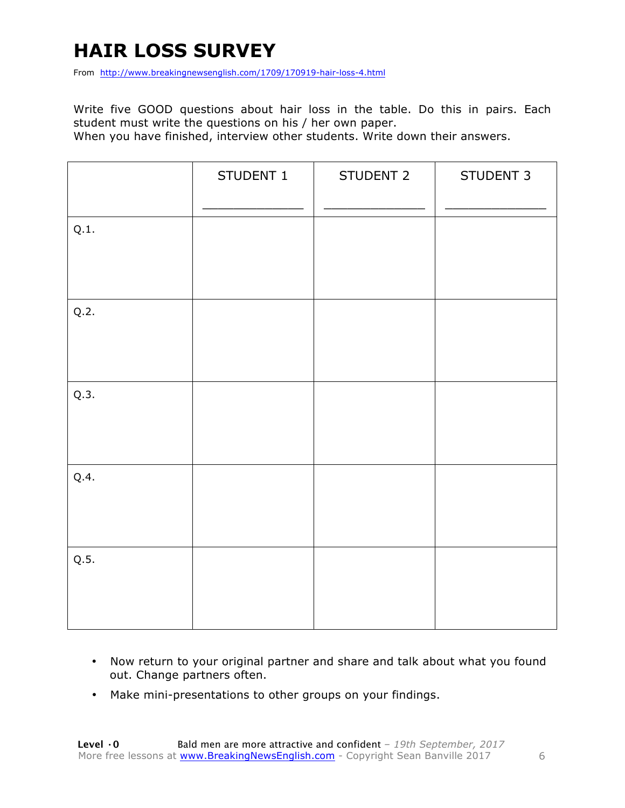### **HAIR LOSS SURVEY**

From http://www.breakingnewsenglish.com/1709/170919-hair-loss-4.html

Write five GOOD questions about hair loss in the table. Do this in pairs. Each student must write the questions on his / her own paper.

When you have finished, interview other students. Write down their answers.

|      | STUDENT 1 | STUDENT 2 | STUDENT 3 |
|------|-----------|-----------|-----------|
| Q.1. |           |           |           |
| Q.2. |           |           |           |
| Q.3. |           |           |           |
| Q.4. |           |           |           |
| Q.5. |           |           |           |

- Now return to your original partner and share and talk about what you found out. Change partners often.
- Make mini-presentations to other groups on your findings.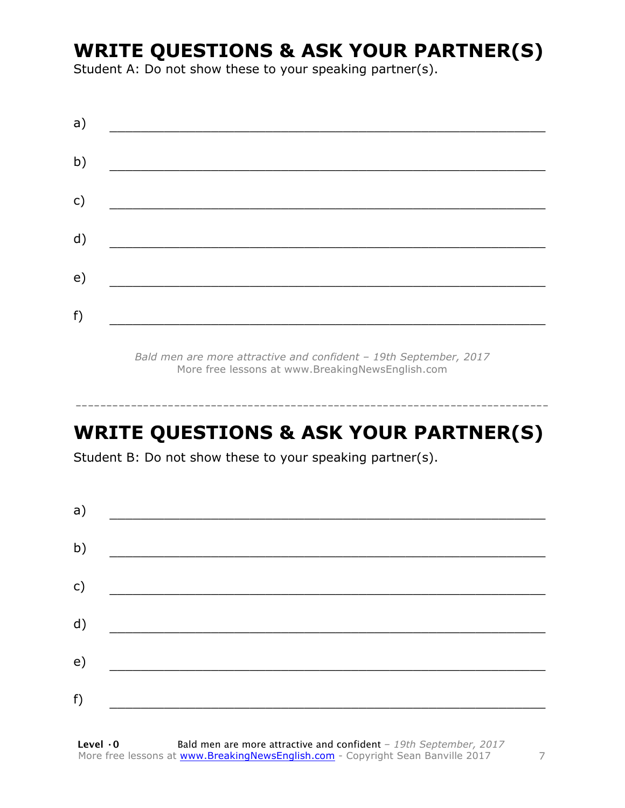### **WRITE QUESTIONS & ASK YOUR PARTNER(S)**

Student A: Do not show these to your speaking partner(s).

| a) |  |  |
|----|--|--|
| b) |  |  |
| c) |  |  |
| d) |  |  |
| e) |  |  |
| f) |  |  |
|    |  |  |

*Bald men are more attractive and confident – 19th September, 2017* More free lessons at www.BreakingNewsEnglish.com

### **WRITE QUESTIONS & ASK YOUR PARTNER(S)**

-----------------------------------------------------------------------------

Student B: Do not show these to your speaking partner(s).

| a) |  |  |
|----|--|--|
| b) |  |  |
| c) |  |  |
| d) |  |  |
| e) |  |  |
|    |  |  |
| f) |  |  |